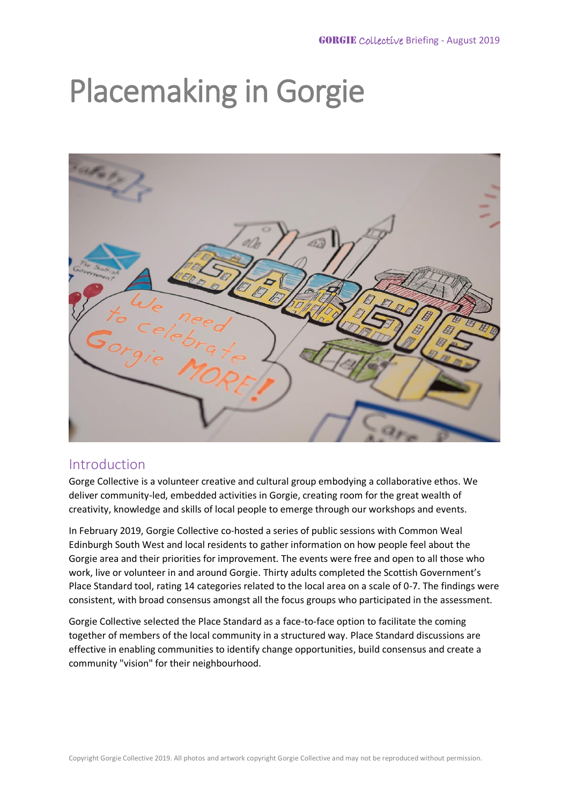# Placemaking in Gorgie



# Introduction

Gorge Collective is a volunteer creative and cultural group embodying a collaborative ethos. We deliver community-led, embedded activities in Gorgie, creating room for the great wealth of creativity, knowledge and skills of local people to emerge through our workshops and events.

In February 2019, Gorgie Collective co-hosted a series of public sessions with Common Weal Edinburgh South West and local residents to gather information on how people feel about the Gorgie area and their priorities for improvement. The events were free and open to all those who work, live or volunteer in and around Gorgie. Thirty adults completed the Scottish Government's Place Standard tool, rating 14 categories related to the local area on a scale of 0-7. The findings were consistent, with broad consensus amongst all the focus groups who participated in the assessment.

Gorgie Collective selected the Place Standard as a face-to-face option to facilitate the coming together of members of the local community in a structured way. Place Standard discussions are effective in enabling communities to identify change opportunities, build consensus and create a community "vision" for their neighbourhood.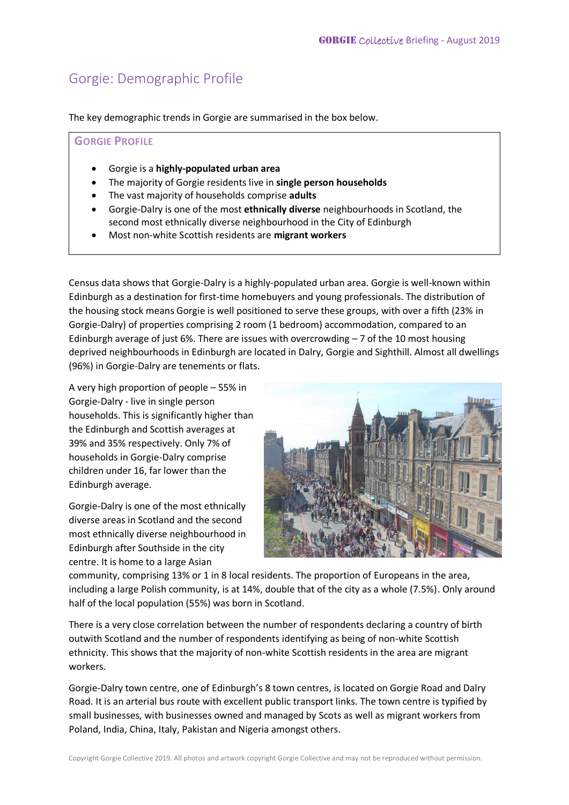# Gorgie: Demographic Profile

The key demographic trends in Gorgie are summarised in the box below.

### **GORGIE PROFILE**

- Gorgie is a **highly-populated urban area**
- The majority of Gorgie residents live in **single person households**
- The vast majority of households comprise **adults**
- Gorgie-Dalry is one of the most **ethnically diverse** neighbourhoods in Scotland, the second most ethnically diverse neighbourhood in the City of Edinburgh
- Most non-white Scottish residents are **migrant workers**

Census data shows that Gorgie-Dalry is a highly-populated urban area. Gorgie is well-known within Edinburgh as a destination for first-time homebuyers and young professionals. The distribution of the housing stock means Gorgie is well positioned to serve these groups, with over a fifth (23% in Gorgie-Dalry) of properties comprising 2 room (1 bedroom) accommodation, compared to an Edinburgh average of just 6%. There are issues with overcrowding  $-7$  of the 10 most housing deprived neighbourhoods in Edinburgh are located in Dalry, Gorgie and Sighthill. Almost all dwellings (96%) in Gorgie-Dalry are tenements or flats.

A very high proportion of people – 55% in Gorgie-Dalry - live in single person households. This is significantly higher than the Edinburgh and Scottish averages at 39% and 35% respectively. Only 7% of households in Gorgie-Dalry comprise children under 16, far lower than the Edinburgh average.

Gorgie-Dalry is one of the most ethnically diverse areas in Scotland and the second most ethnically diverse neighbourhood in Edinburgh after Southside in the city centre. It is home to a large Asian



community, comprising 13% or 1 in 8 local residents. The proportion of Europeans in the area, including a large Polish community, is at 14%, double that of the city as a whole (7.5%). Only around half of the local population (55%) was born in Scotland.

There is a very close correlation between the number of respondents declaring a country of birth outwith Scotland and the number of respondents identifying as being of non-white Scottish ethnicity. This shows that the majority of non-white Scottish residents in the area are migrant workers.

Gorgie-Dalry town centre, one of Edinburgh's 8 town centres, is located on Gorgie Road and Dalry Road. It is an arterial bus route with excellent public transport links. The town centre is typified by small businesses, with businesses owned and managed by Scots as well as migrant workers from Poland, India, China, Italy, Pakistan and Nigeria amongst others.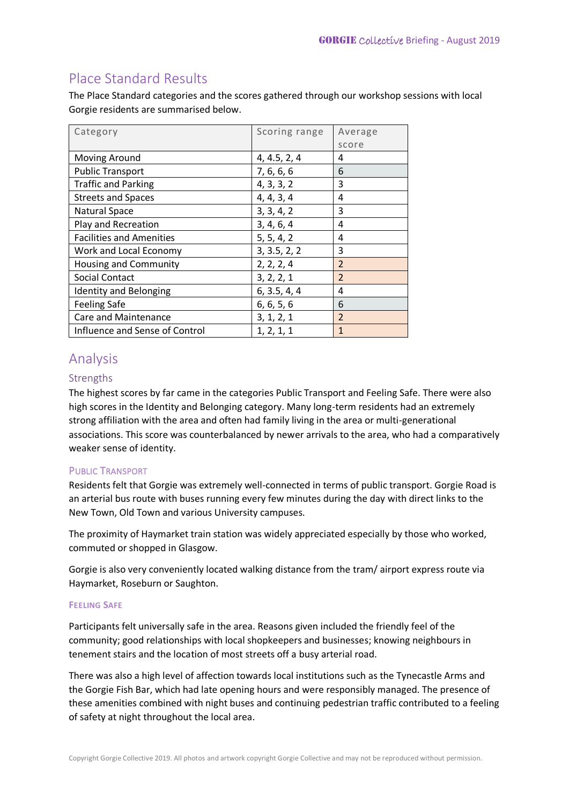# Place Standard Results

The Place Standard categories and the scores gathered through our workshop sessions with local Gorgie residents are summarised below.

| Category                        | Scoring range | Average        |
|---------------------------------|---------------|----------------|
|                                 |               | score          |
| Moving Around                   | 4, 4.5, 2, 4  | 4              |
| <b>Public Transport</b>         | 7, 6, 6, 6    | 6              |
| <b>Traffic and Parking</b>      | 4, 3, 3, 2    | 3              |
| <b>Streets and Spaces</b>       | 4, 4, 3, 4    | 4              |
| Natural Space                   | 3, 3, 4, 2    | 3              |
| Play and Recreation             | 3, 4, 6, 4    | 4              |
| <b>Facilities and Amenities</b> | 5, 5, 4, 2    | 4              |
| Work and Local Economy          | 3, 3.5, 2, 2  | 3              |
| Housing and Community           | 2, 2, 2, 4    | $\overline{2}$ |
| <b>Social Contact</b>           | 3, 2, 2, 1    | $\overline{2}$ |
| <b>Identity and Belonging</b>   | 6, 3.5, 4, 4  | 4              |
| <b>Feeling Safe</b>             | 6, 6, 5, 6    | 6              |
| <b>Care and Maintenance</b>     | 3, 1, 2, 1    | $\overline{2}$ |
| Influence and Sense of Control  | 1, 2, 1, 1    | $\mathbf{1}$   |

# Analysis

## Strengths

The highest scores by far came in the categories Public Transport and Feeling Safe. There were also high scores in the Identity and Belonging category. Many long-term residents had an extremely strong affiliation with the area and often had family living in the area or multi-generational associations. This score was counterbalanced by newer arrivals to the area, who had a comparatively weaker sense of identity.

## PUBLIC TRANSPORT

Residents felt that Gorgie was extremely well-connected in terms of public transport. Gorgie Road is an arterial bus route with buses running every few minutes during the day with direct links to the New Town, Old Town and various University campuses.

The proximity of Haymarket train station was widely appreciated especially by those who worked, commuted or shopped in Glasgow.

Gorgie is also very conveniently located walking distance from the tram/ airport express route via Haymarket, Roseburn or Saughton.

## **FEELING SAFE**

Participants felt universally safe in the area. Reasons given included the friendly feel of the community; good relationships with local shopkeepers and businesses; knowing neighbours in tenement stairs and the location of most streets off a busy arterial road.

There was also a high level of affection towards local institutions such as the Tynecastle Arms and the Gorgie Fish Bar, which had late opening hours and were responsibly managed. The presence of these amenities combined with night buses and continuing pedestrian traffic contributed to a feeling of safety at night throughout the local area.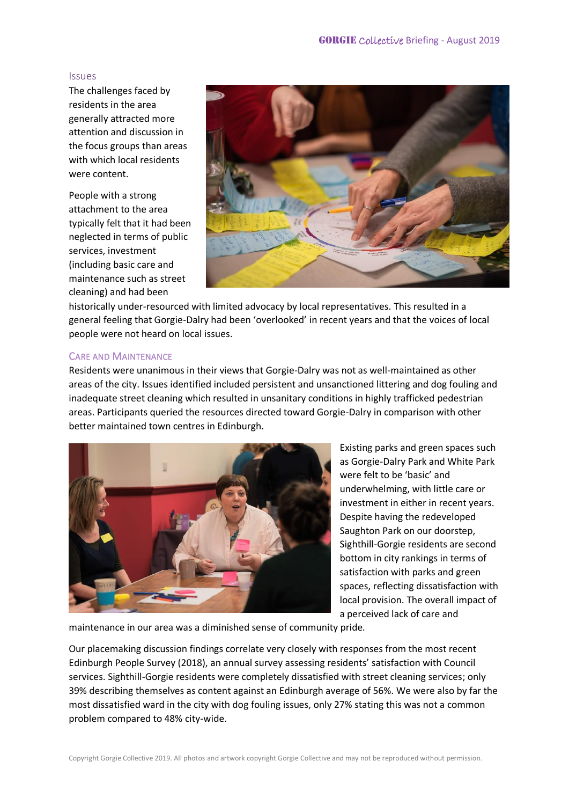#### Issues

The challenges faced by residents in the area generally attracted more attention and discussion in the focus groups than areas with which local residents were content.

People with a strong attachment to the area typically felt that it had been neglected in terms of public services, investment (including basic care and maintenance such as street cleaning) and had been



historically under-resourced with limited advocacy by local representatives. This resulted in a general feeling that Gorgie-Dalry had been 'overlooked' in recent years and that the voices of local people were not heard on local issues.

#### CARE AND MAINTENANCE

Residents were unanimous in their views that Gorgie-Dalry was not as well-maintained as other areas of the city. Issues identified included persistent and unsanctioned littering and dog fouling and inadequate street cleaning which resulted in unsanitary conditions in highly trafficked pedestrian areas. Participants queried the resources directed toward Gorgie-Dalry in comparison with other better maintained town centres in Edinburgh.



Existing parks and green spaces such as Gorgie-Dalry Park and White Park were felt to be 'basic' and underwhelming, with little care or investment in either in recent years. Despite having the redeveloped Saughton Park on our doorstep, Sighthill-Gorgie residents are second bottom in city rankings in terms of satisfaction with parks and green spaces, reflecting dissatisfaction with local provision. The overall impact of a perceived lack of care and

maintenance in our area was a diminished sense of community pride.

Our placemaking discussion findings correlate very closely with responses from the most recent Edinburgh People Survey (2018), an annual survey assessing residents' satisfaction with Council services. Sighthill-Gorgie residents were completely dissatisfied with street cleaning services; only 39% describing themselves as content against an Edinburgh average of 56%. We were also by far the most dissatisfied ward in the city with dog fouling issues, only 27% stating this was not a common problem compared to 48% city-wide.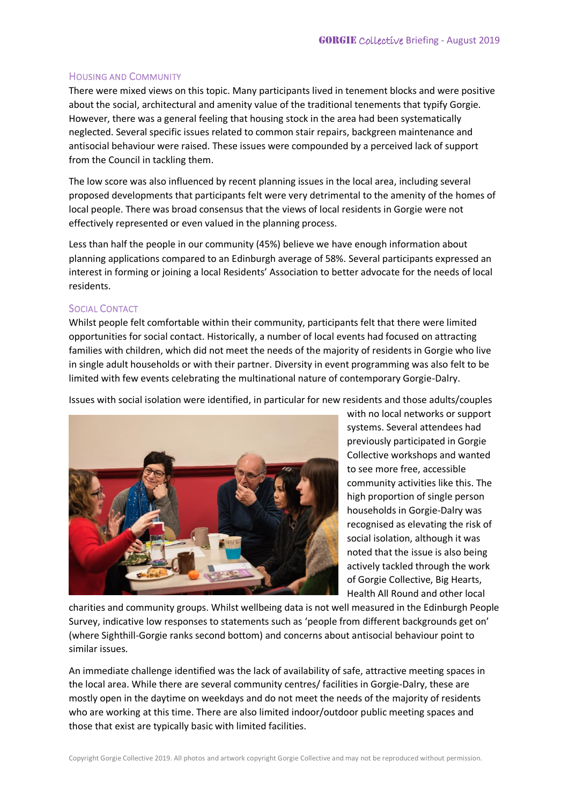## HOUSING AND COMMUNITY

There were mixed views on this topic. Many participants lived in tenement blocks and were positive about the social, architectural and amenity value of the traditional tenements that typify Gorgie. However, there was a general feeling that housing stock in the area had been systematically neglected. Several specific issues related to common stair repairs, backgreen maintenance and antisocial behaviour were raised. These issues were compounded by a perceived lack of support from the Council in tackling them.

The low score was also influenced by recent planning issues in the local area, including several proposed developments that participants felt were very detrimental to the amenity of the homes of local people. There was broad consensus that the views of local residents in Gorgie were not effectively represented or even valued in the planning process.

Less than half the people in our community (45%) believe we have enough information about planning applications compared to an Edinburgh average of 58%. Several participants expressed an interest in forming or joining a local Residents' Association to better advocate for the needs of local residents.

### SOCIAL CONTACT

Whilst people felt comfortable within their community, participants felt that there were limited opportunities for social contact. Historically, a number of local events had focused on attracting families with children, which did not meet the needs of the majority of residents in Gorgie who live in single adult households or with their partner. Diversity in event programming was also felt to be limited with few events celebrating the multinational nature of contemporary Gorgie-Dalry.

Issues with social isolation were identified, in particular for new residents and those adults/couples



with no local networks or support systems. Several attendees had previously participated in Gorgie Collective workshops and wanted to see more free, accessible community activities like this. The high proportion of single person households in Gorgie-Dalry was recognised as elevating the risk of social isolation, although it was noted that the issue is also being actively tackled through the work of Gorgie Collective, Big Hearts, Health All Round and other local

charities and community groups. Whilst wellbeing data is not well measured in the Edinburgh People Survey, indicative low responses to statements such as 'people from different backgrounds get on' (where Sighthill-Gorgie ranks second bottom) and concerns about antisocial behaviour point to similar issues.

An immediate challenge identified was the lack of availability of safe, attractive meeting spaces in the local area. While there are several community centres/ facilities in Gorgie-Dalry, these are mostly open in the daytime on weekdays and do not meet the needs of the majority of residents who are working at this time. There are also limited indoor/outdoor public meeting spaces and those that exist are typically basic with limited facilities.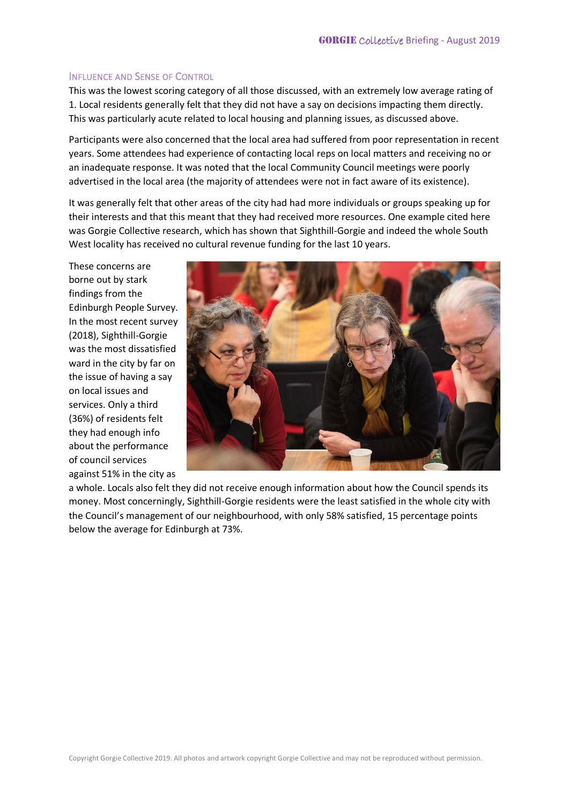### INFLUENCE AND SENSE OF CONTROL

This was the lowest scoring category of all those discussed, with an extremely low average rating of 1. Local residents generally felt that they did not have a say on decisions impacting them directly. This was particularly acute related to local housing and planning issues, as discussed above.

Participants were also concerned that the local area had suffered from poor representation in recent years. Some attendees had experience of contacting local reps on local matters and receiving no or an inadequate response. It was noted that the local Community Council meetings were poorly advertised in the local area (the majority of attendees were not in fact aware of its existence).

It was generally felt that other areas of the city had had more individuals or groups speaking up for their interests and that this meant that they had received more resources. One example cited here was Gorgie Collective research, which has shown that Sighthill-Gorgie and indeed the whole South West locality has received no cultural revenue funding for the last 10 years.

These concerns are borne out by stark findings from the Edinburgh People Survey. In the most recent survey (2018), Sighthill-Gorgie was the most dissatisfied ward in the city by far on the issue of having a say on local issues and services. Only a third (36%) of residents felt they had enough info about the performance of council services against 51% in the city as



a whole. Locals also felt they did not receive enough information about how the Council spends its money. Most concerningly, Sighthill-Gorgie residents were the least satisfied in the whole city with the Council's management of our neighbourhood, with only 58% satisfied, 15 percentage points below the average for Edinburgh at 73%.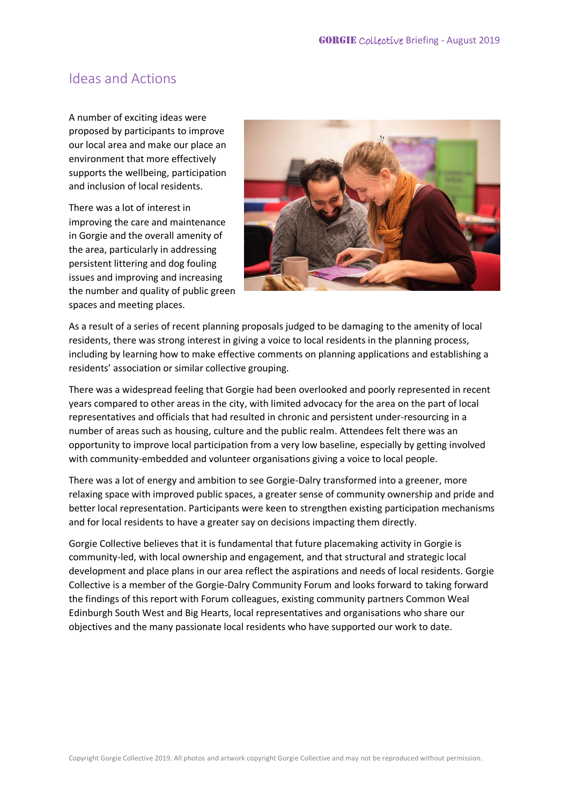## Ideas and Actions

A number of exciting ideas were proposed by participants to improve our local area and make our place an environment that more effectively supports the wellbeing, participation and inclusion of local residents.

There was a lot of interest in improving the care and maintenance in Gorgie and the overall amenity of the area, particularly in addressing persistent littering and dog fouling issues and improving and increasing the number and quality of public green spaces and meeting places.



As a result of a series of recent planning proposals judged to be damaging to the amenity of local residents, there was strong interest in giving a voice to local residents in the planning process, including by learning how to make effective comments on planning applications and establishing a residents' association or similar collective grouping.

There was a widespread feeling that Gorgie had been overlooked and poorly represented in recent years compared to other areas in the city, with limited advocacy for the area on the part of local representatives and officials that had resulted in chronic and persistent under-resourcing in a number of areas such as housing, culture and the public realm. Attendees felt there was an opportunity to improve local participation from a very low baseline, especially by getting involved with community-embedded and volunteer organisations giving a voice to local people.

There was a lot of energy and ambition to see Gorgie-Dalry transformed into a greener, more relaxing space with improved public spaces, a greater sense of community ownership and pride and better local representation. Participants were keen to strengthen existing participation mechanisms and for local residents to have a greater say on decisions impacting them directly.

Gorgie Collective believes that it is fundamental that future placemaking activity in Gorgie is community-led, with local ownership and engagement, and that structural and strategic local development and place plans in our area reflect the aspirations and needs of local residents. Gorgie Collective is a member of the Gorgie-Dalry Community Forum and looks forward to taking forward the findings of this report with Forum colleagues, existing community partners Common Weal Edinburgh South West and Big Hearts, local representatives and organisations who share our objectives and the many passionate local residents who have supported our work to date.